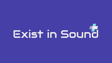# Exist in Sound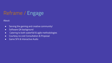## Reframe / Engage

About:

- Serving the gaming and creative community!
- Software QA background
- Catering to both waterfall & agile methodologies
- Courtesy no cost Consultation & Proposal
- Game SFX & Interactive Audio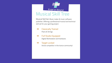

## Musical Skill Tree

Musical Skill Set: Music maker & music software publisher. Offering a professional musical and technical skill set for your gaming project.

- **→** Classically Trained Piano & Strings
- → Full Studio Equipped Digital Workstation and hardware.

#### → Target Locked

Active competitor in the trance community!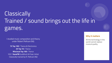# **Classically** Trained / sound brings out the life in games.

I studied music composition and theory under Robert Pellicani (NJ).

**7X Top 100** [/ Trance & Electronica](https://www.bptoptracker.com/artist/exist-in-sound/598397) **[3X Top 10](https://www.bptoptracker.com/artist/exist-in-sound/598397)** / Trance **[Mixcloud Top 100](https://www.mixcloud.com/existinsound)** / Trance 103.7 **KaneFM** Guildford UK Feat. Artist Classically trained by R. Pellicani (NJ)

#### **Why it matters**

All the technology in the world cannot replace musical quality.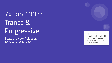7x top 100 ::: Trance & Progressive

Beatport New Releases 2017 / 2019 / 2020 / 2021

The same level of commitment required to chart goes into every piece of audio I create for your game.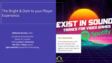### The Bright & Dark to your Player Experience.

#### **Additional Services** I offer:

Soundtrack & Gaming Audio Mobile, PC, Console Crafting **trance** & **electronica Test**, **QA**, & D**ebug** support **agile**/**waterfall** development methodology

# EXIST IN SOUND

#### **Your teammate.**

I'll be with the team until the end. Develop, test, rework and recompile. Late nights or early mornings on Discord are a norm.

22000

Add "Exist in Sound" to your Spotify playlist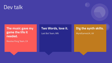## Dev talk

**The music gave my game the life it needed.**

Revolve Pong Team, CA

### **Two Words, love it.**

Last Bot Team, MN

### **Dig the synth skills.**

MyndGamesUK, UK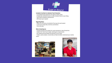

#### **Included in the Rate for individual Track Production:**

- A Completed Song inspired by your game's artistic vision.
- A Radio Edit, Extended Version, or other Variation Remix to your liking.
- Test & QA for Desktop, Android & iOS.
- JIRA board upon request!

#### **Regarding Rates:**

- Rates are not hourly, as hundreds of hours go into each project.
- I treat every project like a full time commitment.
- This is the way.

#### **When Contacting me:**

- Include info about your project for a quick estimate on rates & lead time.
- Helpful Info: Track Count, length, style & genre requirements.
- Any related technical details and specifics to your audio.
- Trailers, audio samples, musical taste, all help me better understand your creative vision!